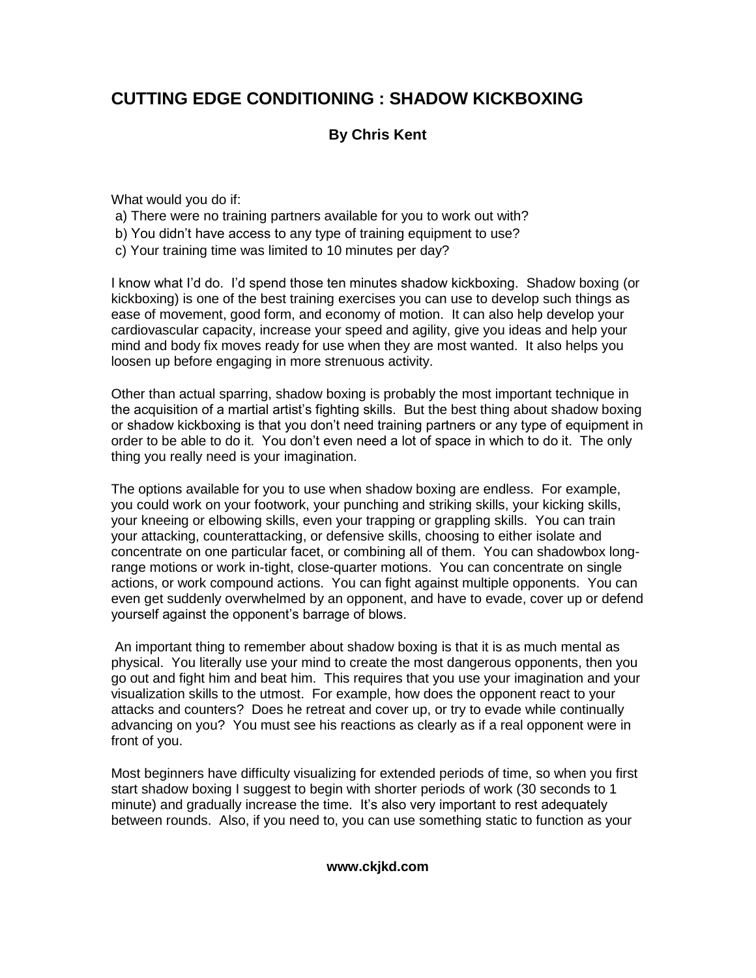## **CUTTING EDGE CONDITIONING : SHADOW KICKBOXING**

## **By Chris Kent**

What would you do if:

- a) There were no training partners available for you to work out with?
- b) You didn't have access to any type of training equipment to use?
- c) Your training time was limited to 10 minutes per day?

I know what I'd do. I'd spend those ten minutes shadow kickboxing. Shadow boxing (or kickboxing) is one of the best training exercises you can use to develop such things as ease of movement, good form, and economy of motion. It can also help develop your cardiovascular capacity, increase your speed and agility, give you ideas and help your mind and body fix moves ready for use when they are most wanted. It also helps you loosen up before engaging in more strenuous activity.

Other than actual sparring, shadow boxing is probably the most important technique in the acquisition of a martial artist's fighting skills. But the best thing about shadow boxing or shadow kickboxing is that you don't need training partners or any type of equipment in order to be able to do it. You don't even need a lot of space in which to do it. The only thing you really need is your imagination.

The options available for you to use when shadow boxing are endless. For example, you could work on your footwork, your punching and striking skills, your kicking skills, your kneeing or elbowing skills, even your trapping or grappling skills. You can train your attacking, counterattacking, or defensive skills, choosing to either isolate and concentrate on one particular facet, or combining all of them. You can shadowbox longrange motions or work in-tight, close-quarter motions. You can concentrate on single actions, or work compound actions. You can fight against multiple opponents. You can even get suddenly overwhelmed by an opponent, and have to evade, cover up or defend yourself against the opponent's barrage of blows.

An important thing to remember about shadow boxing is that it is as much mental as physical. You literally use your mind to create the most dangerous opponents, then you go out and fight him and beat him. This requires that you use your imagination and your visualization skills to the utmost. For example, how does the opponent react to your attacks and counters? Does he retreat and cover up, or try to evade while continually advancing on you? You must see his reactions as clearly as if a real opponent were in front of you.

Most beginners have difficulty visualizing for extended periods of time, so when you first start shadow boxing I suggest to begin with shorter periods of work (30 seconds to 1 minute) and gradually increase the time. It's also very important to rest adequately between rounds. Also, if you need to, you can use something static to function as your

## **www.ckjkd.com**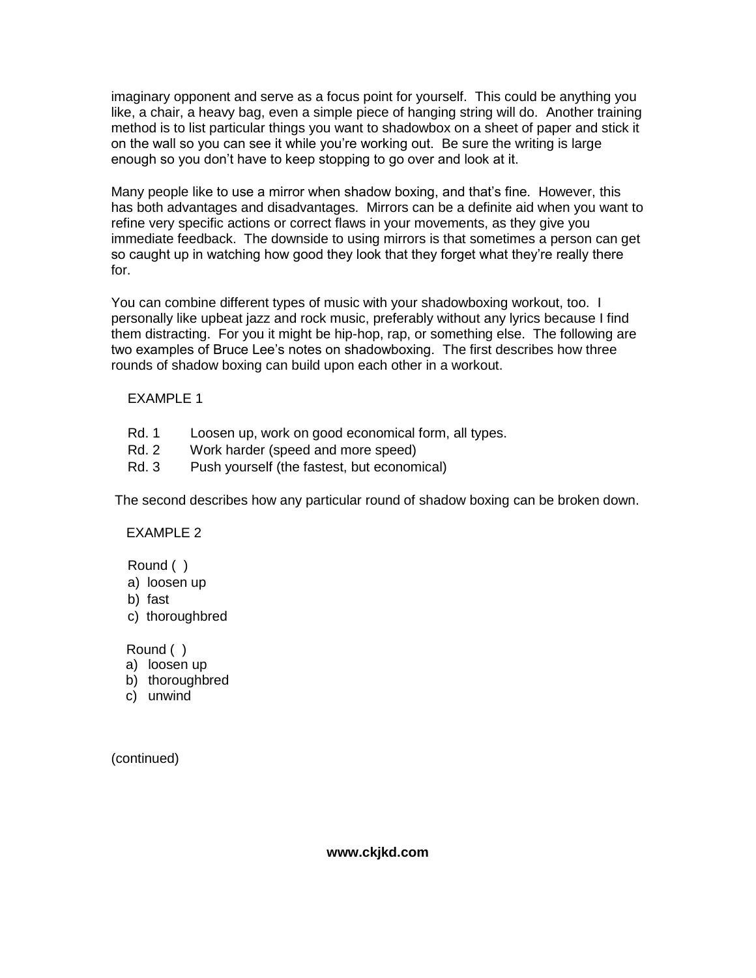imaginary opponent and serve as a focus point for yourself. This could be anything you like, a chair, a heavy bag, even a simple piece of hanging string will do. Another training method is to list particular things you want to shadowbox on a sheet of paper and stick it on the wall so you can see it while you're working out. Be sure the writing is large enough so you don't have to keep stopping to go over and look at it.

Many people like to use a mirror when shadow boxing, and that's fine. However, this has both advantages and disadvantages. Mirrors can be a definite aid when you want to refine very specific actions or correct flaws in your movements, as they give you immediate feedback. The downside to using mirrors is that sometimes a person can get so caught up in watching how good they look that they forget what they're really there for.

You can combine different types of music with your shadowboxing workout, too. I personally like upbeat jazz and rock music, preferably without any lyrics because I find them distracting. For you it might be hip-hop, rap, or something else. The following are two examples of Bruce Lee's notes on shadowboxing. The first describes how three rounds of shadow boxing can build upon each other in a workout.

EXAMPLE 1

- Rd. 1 Loosen up, work on good economical form, all types.
- Rd. 2 Work harder (speed and more speed)
- Rd. 3 Push yourself (the fastest, but economical)

The second describes how any particular round of shadow boxing can be broken down.

**EXAMPLE 2** 

Round ( )

- a) loosen up
- b) fast
- c) thoroughbred

Round ( )

- a) loosen up
- b) thoroughbred
- c) unwind

(continued)

**www.ckjkd.com**